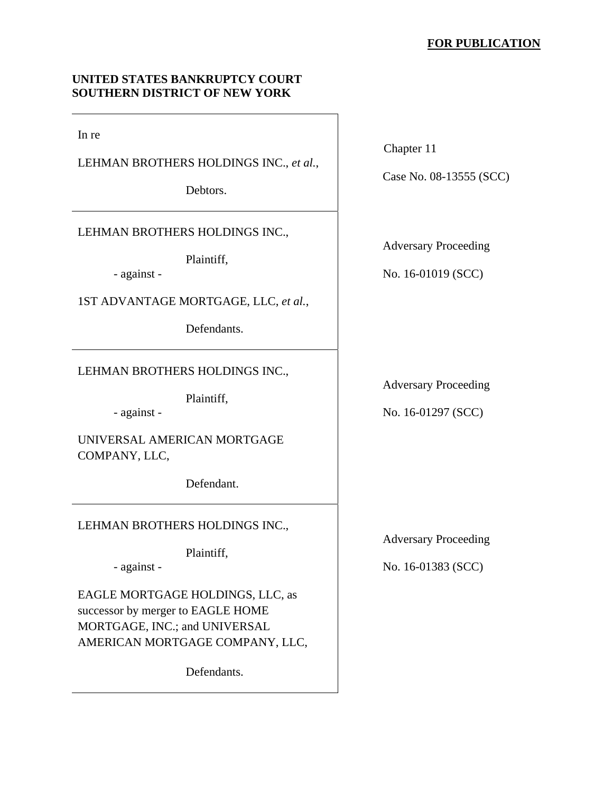## **FOR PUBLICATION**

## **UNITED STATES BANKRUPTCY COURT SOUTHERN DISTRICT OF NEW YORK**

In re

LEHMAN BROTHERS HOLDINGS INC., *et al.*,

Debtors.

LEHMAN BROTHERS HOLDINGS INC.,

Plaintiff,

- against -

1ST ADVANTAGE MORTGAGE, LLC, *et al.*,

Defendants.

LEHMAN BROTHERS HOLDINGS INC.,

Plaintiff,

- against -

UNIVERSAL AMERICAN MORTGAGE COMPANY, LLC,

Defendant.

LEHMAN BROTHERS HOLDINGS INC.,

Plaintiff,

- against -

EAGLE MORTGAGE HOLDINGS, LLC, as successor by merger to EAGLE HOME MORTGAGE, INC.; and UNIVERSAL AMERICAN MORTGAGE COMPANY, LLC,

Defendants.

Chapter 11

Case No. 08-13555 (SCC)

Adversary Proceeding

No. 16-01019 (SCC)

Adversary Proceeding

No. 16-01297 (SCC)

Adversary Proceeding

No. 16-01383 (SCC)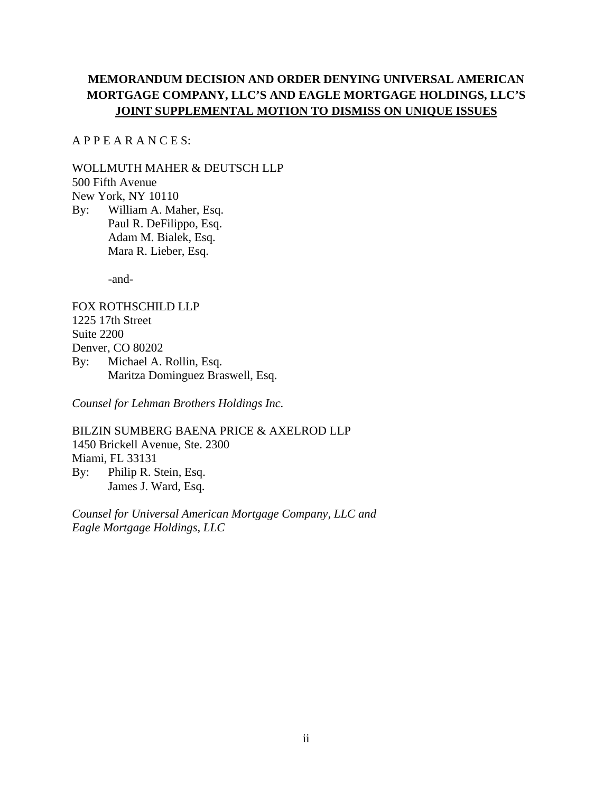# **MEMORANDUM DECISION AND ORDER DENYING UNIVERSAL AMERICAN MORTGAGE COMPANY, LLC'S AND EAGLE MORTGAGE HOLDINGS, LLC'S JOINT SUPPLEMENTAL MOTION TO DISMISS ON UNIQUE ISSUES**

A P P E A R A N C E S:

WOLLMUTH MAHER & DEUTSCH LLP 500 Fifth Avenue New York, NY 10110 By: William A. Maher, Esq. Paul R. DeFilippo, Esq. Adam M. Bialek, Esq.

Mara R. Lieber, Esq.

-and-

FOX ROTHSCHILD LLP 1225 17th Street Suite 2200 Denver, CO 80202 By: Michael A. Rollin, Esq. Maritza Dominguez Braswell, Esq.

*Counsel for Lehman Brothers Holdings Inc.*

BILZIN SUMBERG BAENA PRICE & AXELROD LLP 1450 Brickell Avenue, Ste. 2300 Miami, FL 33131 By: Philip R. Stein, Esq. James J. Ward, Esq.

*Counsel for Universal American Mortgage Company, LLC and Eagle Mortgage Holdings, LLC*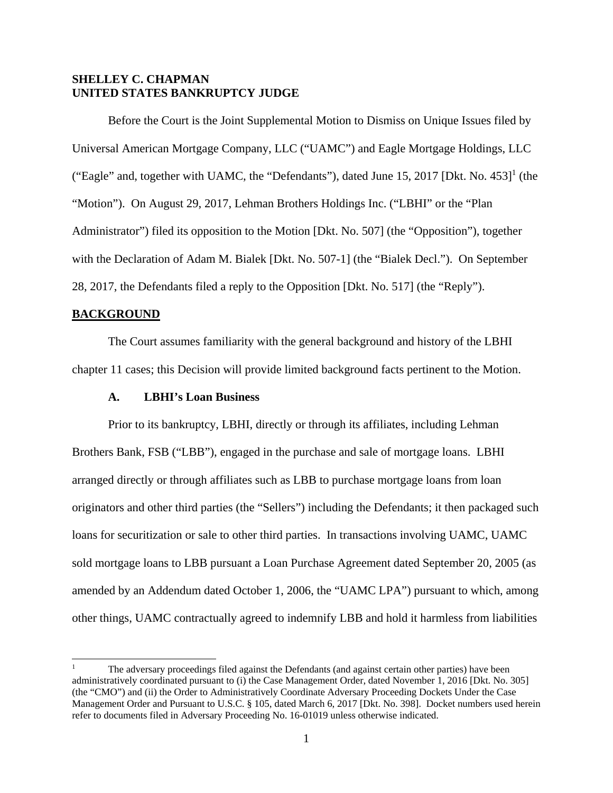## **SHELLEY C. CHAPMAN UNITED STATES BANKRUPTCY JUDGE**

Before the Court is the Joint Supplemental Motion to Dismiss on Unique Issues filed by Universal American Mortgage Company, LLC ("UAMC") and Eagle Mortgage Holdings, LLC ("Eagle" and, together with UAMC, the "Defendants"), dated June 15, 2017 [Dkt. No.  $453$ ]<sup>1</sup> (the "Motion"). On August 29, 2017, Lehman Brothers Holdings Inc. ("LBHI" or the "Plan Administrator") filed its opposition to the Motion [Dkt. No. 507] (the "Opposition"), together with the Declaration of Adam M. Bialek [Dkt. No. 507-1] (the "Bialek Decl."). On September 28, 2017, the Defendants filed a reply to the Opposition [Dkt. No. 517] (the "Reply").

### **BACKGROUND**

 $\overline{a}$ 

The Court assumes familiarity with the general background and history of the LBHI chapter 11 cases; this Decision will provide limited background facts pertinent to the Motion.

### **A. LBHI's Loan Business**

Prior to its bankruptcy, LBHI, directly or through its affiliates, including Lehman Brothers Bank, FSB ("LBB"), engaged in the purchase and sale of mortgage loans. LBHI arranged directly or through affiliates such as LBB to purchase mortgage loans from loan originators and other third parties (the "Sellers") including the Defendants; it then packaged such loans for securitization or sale to other third parties. In transactions involving UAMC, UAMC sold mortgage loans to LBB pursuant a Loan Purchase Agreement dated September 20, 2005 (as amended by an Addendum dated October 1, 2006, the "UAMC LPA") pursuant to which, among other things, UAMC contractually agreed to indemnify LBB and hold it harmless from liabilities

<sup>1</sup> The adversary proceedings filed against the Defendants (and against certain other parties) have been administratively coordinated pursuant to (i) the Case Management Order, dated November 1, 2016 [Dkt. No. 305] (the "CMO") and (ii) the Order to Administratively Coordinate Adversary Proceeding Dockets Under the Case Management Order and Pursuant to U.S.C. § 105, dated March 6, 2017 [Dkt. No. 398]. Docket numbers used herein refer to documents filed in Adversary Proceeding No. 16-01019 unless otherwise indicated.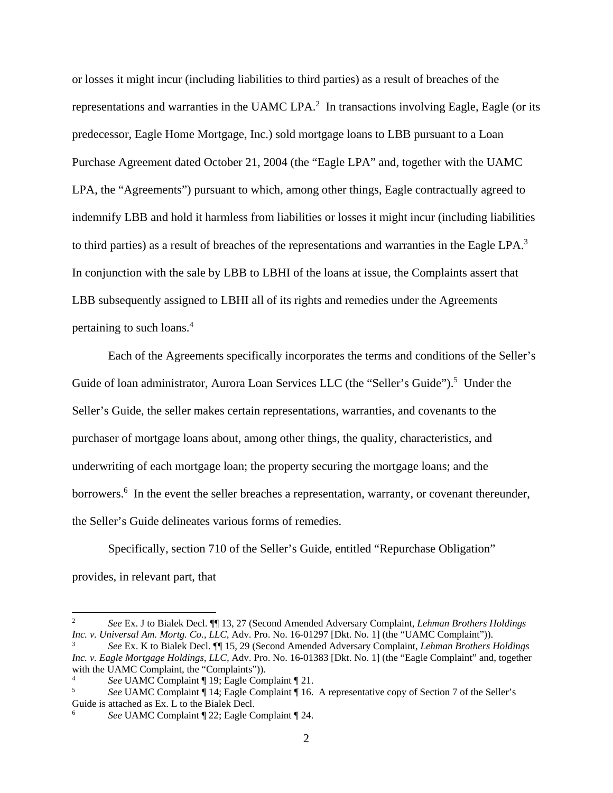or losses it might incur (including liabilities to third parties) as a result of breaches of the representations and warranties in the UAMC LPA.<sup>2</sup> In transactions involving Eagle, Eagle (or its predecessor, Eagle Home Mortgage, Inc.) sold mortgage loans to LBB pursuant to a Loan Purchase Agreement dated October 21, 2004 (the "Eagle LPA" and, together with the UAMC LPA, the "Agreements") pursuant to which, among other things, Eagle contractually agreed to indemnify LBB and hold it harmless from liabilities or losses it might incur (including liabilities to third parties) as a result of breaches of the representations and warranties in the Eagle LPA.<sup>3</sup> In conjunction with the sale by LBB to LBHI of the loans at issue, the Complaints assert that LBB subsequently assigned to LBHI all of its rights and remedies under the Agreements pertaining to such loans.<sup>4</sup>

Each of the Agreements specifically incorporates the terms and conditions of the Seller's Guide of loan administrator, Aurora Loan Services LLC (the "Seller's Guide").<sup>5</sup> Under the Seller's Guide, the seller makes certain representations, warranties, and covenants to the purchaser of mortgage loans about, among other things, the quality, characteristics, and underwriting of each mortgage loan; the property securing the mortgage loans; and the borrowers.<sup>6</sup> In the event the seller breaches a representation, warranty, or covenant thereunder, the Seller's Guide delineates various forms of remedies.

Specifically, section 710 of the Seller's Guide, entitled "Repurchase Obligation" provides, in relevant part, that

 $\overline{\phantom{a}}$ 

<sup>2</sup> *See* Ex. J to Bialek Decl. ¶¶ 13, 27 (Second Amended Adversary Complaint, *Lehman Brothers Holdings Inc. v. Universal Am. Mortg. Co., LLC, Adv. Pro. No. 16-01297 [Dkt. No. 1] (the "UAMC Complaint")).* 

*See* Ex. K to Bialek Decl. ¶¶ 15, 29 (Second Amended Adversary Complaint, *Lehman Brothers Holdings Inc. v. Eagle Mortgage Holdings, LLC,* Adv. Pro. No. 16-01383 [Dkt. No. 1] (the "Eagle Complaint" and, together with the UAMC Complaint, the "Complaints")).

<sup>4</sup> *See* UAMC Complaint ¶ 19; Eagle Complaint ¶ 21.

*See* UAMC Complaint ¶ 14; Eagle Complaint ¶ 16. A representative copy of Section 7 of the Seller's Guide is attached as Ex. L to the Bialek Decl.

<sup>6</sup> *See* UAMC Complaint ¶ 22; Eagle Complaint ¶ 24.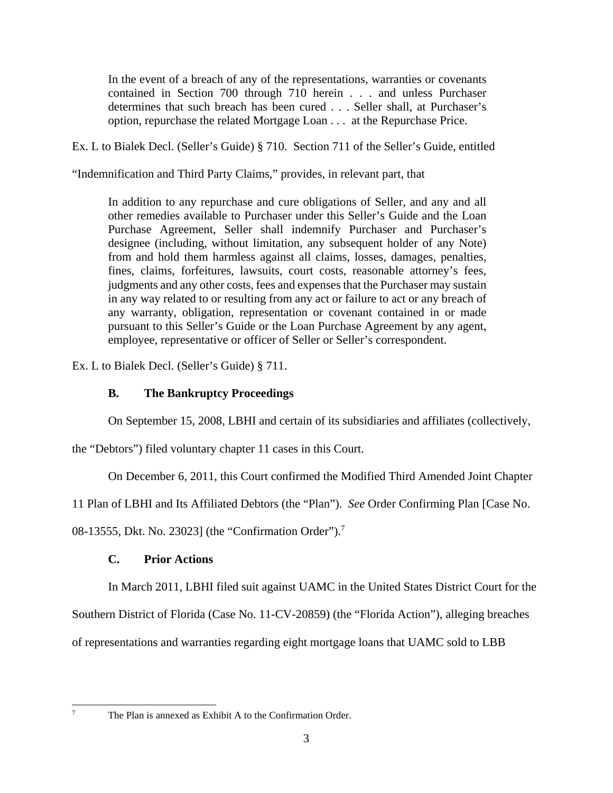In the event of a breach of any of the representations, warranties or covenants contained in Section 700 through 710 herein . . . and unless Purchaser determines that such breach has been cured . . . Seller shall, at Purchaser's option, repurchase the related Mortgage Loan . . . at the Repurchase Price.

Ex. L to Bialek Decl. (Seller's Guide) § 710. Section 711 of the Seller's Guide, entitled

"Indemnification and Third Party Claims," provides, in relevant part, that

In addition to any repurchase and cure obligations of Seller, and any and all other remedies available to Purchaser under this Seller's Guide and the Loan Purchase Agreement, Seller shall indemnify Purchaser and Purchaser's designee (including, without limitation, any subsequent holder of any Note) from and hold them harmless against all claims, losses, damages, penalties, fines, claims, forfeitures, lawsuits, court costs, reasonable attorney's fees, judgments and any other costs, fees and expenses that the Purchaser may sustain in any way related to or resulting from any act or failure to act or any breach of any warranty, obligation, representation or covenant contained in or made pursuant to this Seller's Guide or the Loan Purchase Agreement by any agent, employee, representative or officer of Seller or Seller's correspondent.

Ex. L to Bialek Decl. (Seller's Guide) § 711.

## **B. The Bankruptcy Proceedings**

On September 15, 2008, LBHI and certain of its subsidiaries and affiliates (collectively,

the "Debtors") filed voluntary chapter 11 cases in this Court.

On December 6, 2011, this Court confirmed the Modified Third Amended Joint Chapter

11 Plan of LBHI and Its Affiliated Debtors (the "Plan"). *See* Order Confirming Plan [Case No.

08-13555, Dkt. No. 23023] (the "Confirmation Order").<sup>7</sup>

## **C. Prior Actions**

In March 2011, LBHI filed suit against UAMC in the United States District Court for the

Southern District of Florida (Case No. 11-CV-20859) (the "Florida Action"), alleging breaches

of representations and warranties regarding eight mortgage loans that UAMC sold to LBB

7

The Plan is annexed as Exhibit A to the Confirmation Order.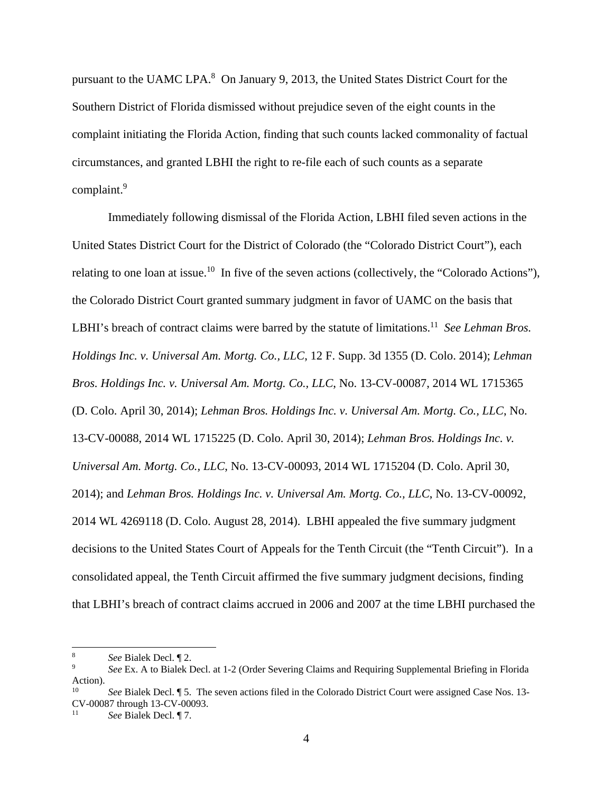pursuant to the UAMC LPA.<sup>8</sup> On January 9, 2013, the United States District Court for the Southern District of Florida dismissed without prejudice seven of the eight counts in the complaint initiating the Florida Action, finding that such counts lacked commonality of factual circumstances, and granted LBHI the right to re-file each of such counts as a separate complaint.<sup>9</sup>

Immediately following dismissal of the Florida Action, LBHI filed seven actions in the United States District Court for the District of Colorado (the "Colorado District Court"), each relating to one loan at issue.<sup>10</sup> In five of the seven actions (collectively, the "Colorado Actions"), the Colorado District Court granted summary judgment in favor of UAMC on the basis that LBHI's breach of contract claims were barred by the statute of limitations.<sup>11</sup> *See Lehman Bros. Holdings Inc. v. Universal Am. Mortg. Co., LLC*, 12 F. Supp. 3d 1355 (D. Colo. 2014); *Lehman Bros. Holdings Inc. v. Universal Am. Mortg. Co., LLC*, No. 13-CV-00087, 2014 WL 1715365 (D. Colo. April 30, 2014); *Lehman Bros. Holdings Inc. v. Universal Am. Mortg. Co., LLC*, No. 13-CV-00088, 2014 WL 1715225 (D. Colo. April 30, 2014); *Lehman Bros. Holdings Inc. v. Universal Am. Mortg. Co., LLC*, No. 13-CV-00093, 2014 WL 1715204 (D. Colo. April 30, 2014); and *Lehman Bros. Holdings Inc. v. Universal Am. Mortg. Co., LLC*, No. 13-CV-00092, 2014 WL 4269118 (D. Colo. August 28, 2014). LBHI appealed the five summary judgment decisions to the United States Court of Appeals for the Tenth Circuit (the "Tenth Circuit"). In a consolidated appeal, the Tenth Circuit affirmed the five summary judgment decisions, finding that LBHI's breach of contract claims accrued in 2006 and 2007 at the time LBHI purchased the

 $\overline{\phantom{a}}$ 

<sup>8</sup> *See Bialek Decl.* 12.

*See* Ex. A to Bialek Decl. at 1-2 (Order Severing Claims and Requiring Supplemental Briefing in Florida Action).

See Bialek Decl. ¶ 5. The seven actions filed in the Colorado District Court were assigned Case Nos. 13-CV-00087 through 13-CV-00093.

<sup>11</sup> *See* Bialek Decl. ¶ 7.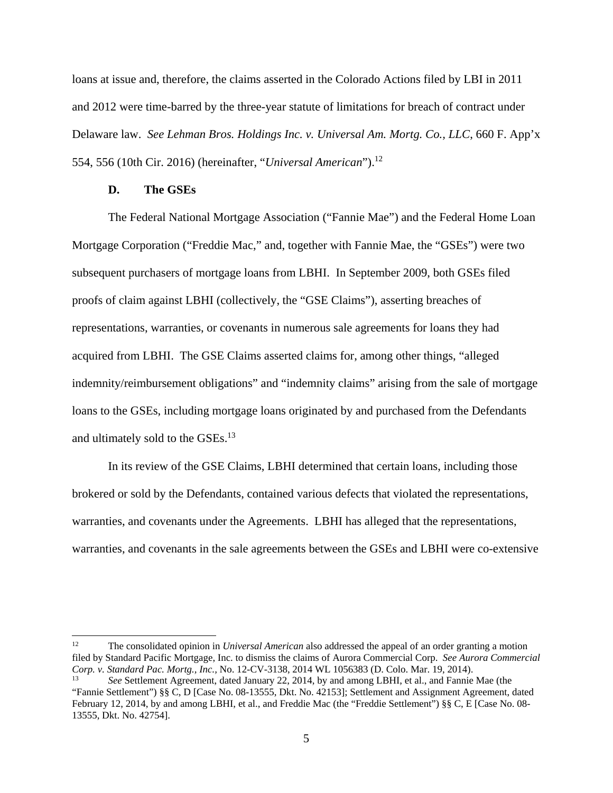loans at issue and, therefore, the claims asserted in the Colorado Actions filed by LBI in 2011 and 2012 were time-barred by the three-year statute of limitations for breach of contract under Delaware law. *See Lehman Bros. Holdings Inc. v. Universal Am. Mortg. Co., LLC*, 660 F. App'x 554, 556 (10th Cir. 2016) (hereinafter, "*Universal American*").12

#### **D. The GSEs**

The Federal National Mortgage Association ("Fannie Mae") and the Federal Home Loan Mortgage Corporation ("Freddie Mac," and, together with Fannie Mae, the "GSEs") were two subsequent purchasers of mortgage loans from LBHI. In September 2009, both GSEs filed proofs of claim against LBHI (collectively, the "GSE Claims"), asserting breaches of representations, warranties, or covenants in numerous sale agreements for loans they had acquired from LBHI. The GSE Claims asserted claims for, among other things, "alleged indemnity/reimbursement obligations" and "indemnity claims" arising from the sale of mortgage loans to the GSEs, including mortgage loans originated by and purchased from the Defendants and ultimately sold to the GSEs.<sup>13</sup>

In its review of the GSE Claims, LBHI determined that certain loans, including those brokered or sold by the Defendants, contained various defects that violated the representations, warranties, and covenants under the Agreements. LBHI has alleged that the representations, warranties, and covenants in the sale agreements between the GSEs and LBHI were co-extensive

 $12 \overline{ }$ 12 The consolidated opinion in *Universal American* also addressed the appeal of an order granting a motion filed by Standard Pacific Mortgage, Inc. to dismiss the claims of Aurora Commercial Corp. *See Aurora Commercial Corp. v. Standard Pac. Mortg., Inc.,* No. 12-CV-3138, 2014 WL 1056383 (D. Colo. Mar. 19, 2014).

<sup>13</sup> *See* Settlement Agreement, dated January 22, 2014, by and among LBHI, et al., and Fannie Mae (the "Fannie Settlement") §§ C, D [Case No. 08-13555, Dkt. No. 42153]; Settlement and Assignment Agreement, dated February 12, 2014, by and among LBHI, et al., and Freddie Mac (the "Freddie Settlement") §§ C, E [Case No. 08- 13555, Dkt. No. 42754].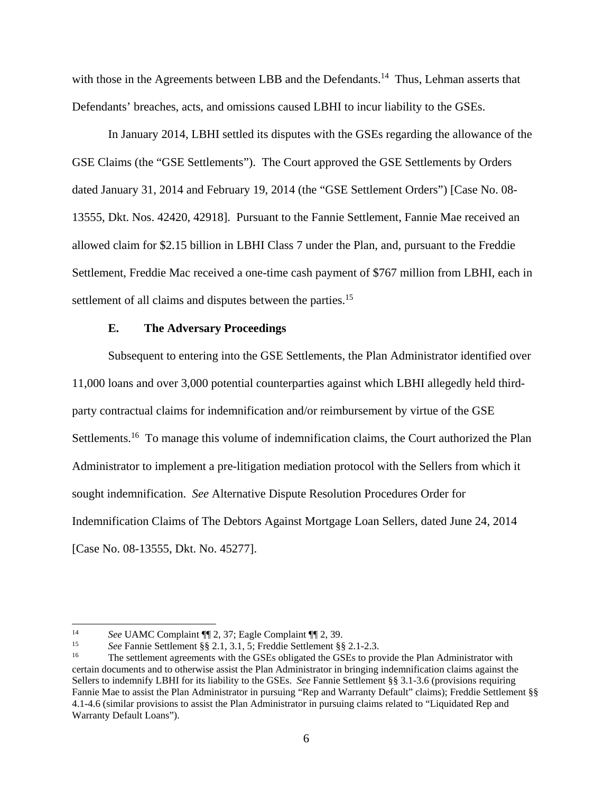with those in the Agreements between LBB and the Defendants.<sup>14</sup> Thus, Lehman asserts that Defendants' breaches, acts, and omissions caused LBHI to incur liability to the GSEs.

In January 2014, LBHI settled its disputes with the GSEs regarding the allowance of the GSE Claims (the "GSE Settlements"). The Court approved the GSE Settlements by Orders dated January 31, 2014 and February 19, 2014 (the "GSE Settlement Orders") [Case No. 08- 13555, Dkt. Nos. 42420, 42918]. Pursuant to the Fannie Settlement, Fannie Mae received an allowed claim for \$2.15 billion in LBHI Class 7 under the Plan, and, pursuant to the Freddie Settlement, Freddie Mac received a one-time cash payment of \$767 million from LBHI, each in settlement of all claims and disputes between the parties.<sup>15</sup>

## **E. The Adversary Proceedings**

Subsequent to entering into the GSE Settlements, the Plan Administrator identified over 11,000 loans and over 3,000 potential counterparties against which LBHI allegedly held thirdparty contractual claims for indemnification and/or reimbursement by virtue of the GSE Settlements.<sup>16</sup> To manage this volume of indemnification claims, the Court authorized the Plan Administrator to implement a pre-litigation mediation protocol with the Sellers from which it sought indemnification. *See* Alternative Dispute Resolution Procedures Order for Indemnification Claims of The Debtors Against Mortgage Loan Sellers, dated June 24, 2014 [Case No. 08-13555, Dkt. No. 45277].

 $14$ 

<sup>&</sup>lt;sup>14</sup> See UAMC Complaint  $\P$  2, 37; Eagle Complaint  $\P$  2, 39.<br>
<sup>15</sup> See Fannie Settlement §§ 2.1, 3.1, 5; Freddie Settlement §§ 2.1-2.3.<br>
<sup>16</sup> The settlement agreements with the GSEs obligated the GSEs to provide the Plan certain documents and to otherwise assist the Plan Administrator in bringing indemnification claims against the Sellers to indemnify LBHI for its liability to the GSEs. *See* Fannie Settlement §§ 3.1-3.6 (provisions requiring Fannie Mae to assist the Plan Administrator in pursuing "Rep and Warranty Default" claims); Freddie Settlement §§ 4.1-4.6 (similar provisions to assist the Plan Administrator in pursuing claims related to "Liquidated Rep and Warranty Default Loans").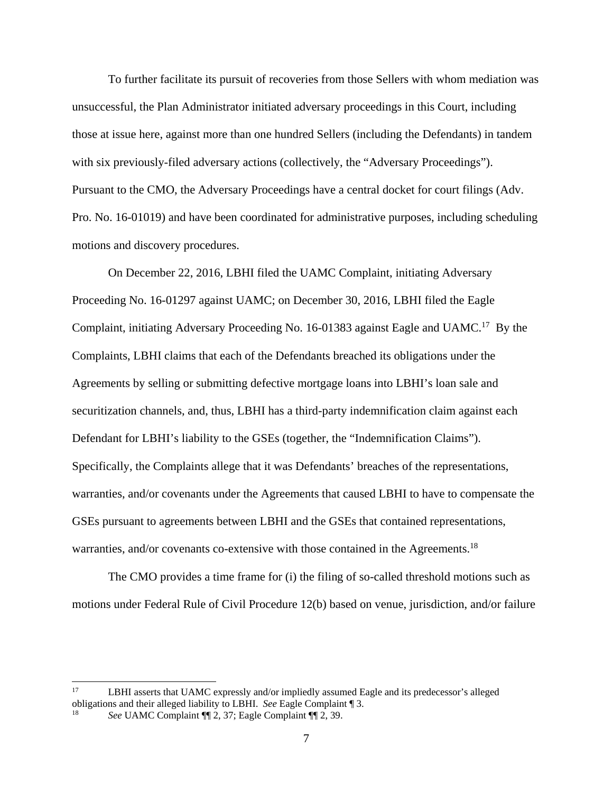To further facilitate its pursuit of recoveries from those Sellers with whom mediation was unsuccessful, the Plan Administrator initiated adversary proceedings in this Court, including those at issue here, against more than one hundred Sellers (including the Defendants) in tandem with six previously-filed adversary actions (collectively, the "Adversary Proceedings"). Pursuant to the CMO, the Adversary Proceedings have a central docket for court filings (Adv. Pro. No. 16-01019) and have been coordinated for administrative purposes, including scheduling motions and discovery procedures.

On December 22, 2016, LBHI filed the UAMC Complaint, initiating Adversary Proceeding No. 16-01297 against UAMC; on December 30, 2016, LBHI filed the Eagle Complaint, initiating Adversary Proceeding No. 16-01383 against Eagle and UAMC.17 By the Complaints, LBHI claims that each of the Defendants breached its obligations under the Agreements by selling or submitting defective mortgage loans into LBHI's loan sale and securitization channels, and, thus, LBHI has a third-party indemnification claim against each Defendant for LBHI's liability to the GSEs (together, the "Indemnification Claims"). Specifically, the Complaints allege that it was Defendants' breaches of the representations, warranties, and/or covenants under the Agreements that caused LBHI to have to compensate the GSEs pursuant to agreements between LBHI and the GSEs that contained representations, warranties, and/or covenants co-extensive with those contained in the Agreements.<sup>18</sup>

The CMO provides a time frame for (i) the filing of so-called threshold motions such as motions under Federal Rule of Civil Procedure 12(b) based on venue, jurisdiction, and/or failure

 $17\,$ LBHI asserts that UAMC expressly and/or impliedly assumed Eagle and its predecessor's alleged obligations and their alleged liability to LBHI. *See* Eagle Complaint ¶ 3. 18 *See* UAMC Complaint ¶¶ 2, 37; Eagle Complaint ¶¶ 2, 39.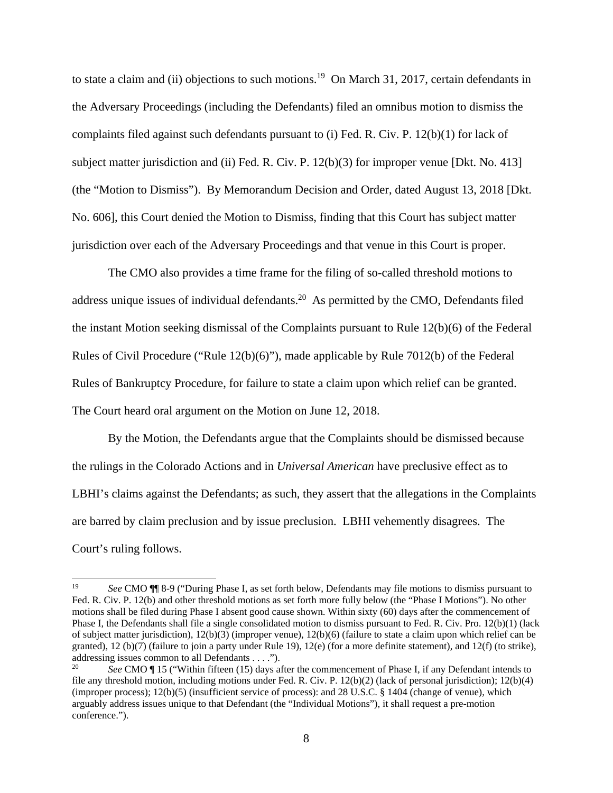to state a claim and (ii) objections to such motions.<sup>19</sup> On March 31, 2017, certain defendants in the Adversary Proceedings (including the Defendants) filed an omnibus motion to dismiss the complaints filed against such defendants pursuant to (i) Fed. R. Civ. P. 12(b)(1) for lack of subject matter jurisdiction and (ii) Fed. R. Civ. P. 12(b)(3) for improper venue [Dkt. No. 413] (the "Motion to Dismiss"). By Memorandum Decision and Order, dated August 13, 2018 [Dkt. No. 606], this Court denied the Motion to Dismiss, finding that this Court has subject matter jurisdiction over each of the Adversary Proceedings and that venue in this Court is proper.

The CMO also provides a time frame for the filing of so-called threshold motions to address unique issues of individual defendants.<sup>20</sup> As permitted by the CMO, Defendants filed the instant Motion seeking dismissal of the Complaints pursuant to Rule 12(b)(6) of the Federal Rules of Civil Procedure ("Rule 12(b)(6)"), made applicable by Rule 7012(b) of the Federal Rules of Bankruptcy Procedure, for failure to state a claim upon which relief can be granted. The Court heard oral argument on the Motion on June 12, 2018.

By the Motion, the Defendants argue that the Complaints should be dismissed because the rulings in the Colorado Actions and in *Universal American* have preclusive effect as to LBHI's claims against the Defendants; as such, they assert that the allegations in the Complaints are barred by claim preclusion and by issue preclusion. LBHI vehemently disagrees. The Court's ruling follows.

 $\overline{\phantom{a}}$ 

<sup>19</sup> *See* CMO ¶¶ 8-9 ("During Phase I, as set forth below, Defendants may file motions to dismiss pursuant to Fed. R. Civ. P. 12(b) and other threshold motions as set forth more fully below (the "Phase I Motions"). No other motions shall be filed during Phase I absent good cause shown. Within sixty (60) days after the commencement of Phase I, the Defendants shall file a single consolidated motion to dismiss pursuant to Fed. R. Civ. Pro. 12(b)(1) (lack of subject matter jurisdiction), 12(b)(3) (improper venue), 12(b)(6) (failure to state a claim upon which relief can be granted), 12 (b)(7) (failure to join a party under Rule 19), 12(e) (for a more definite statement), and 12(f) (to strike), addressing issues common to all Defendants . . . .").

<sup>20</sup> *See* CMO ¶ 15 ("Within fifteen (15) days after the commencement of Phase I, if any Defendant intends to file any threshold motion, including motions under Fed. R. Civ. P. 12(b)(2) (lack of personal jurisdiction); 12(b)(4) (improper process); 12(b)(5) (insufficient service of process): and 28 U.S.C. § 1404 (change of venue), which arguably address issues unique to that Defendant (the "Individual Motions"), it shall request a pre-motion conference.").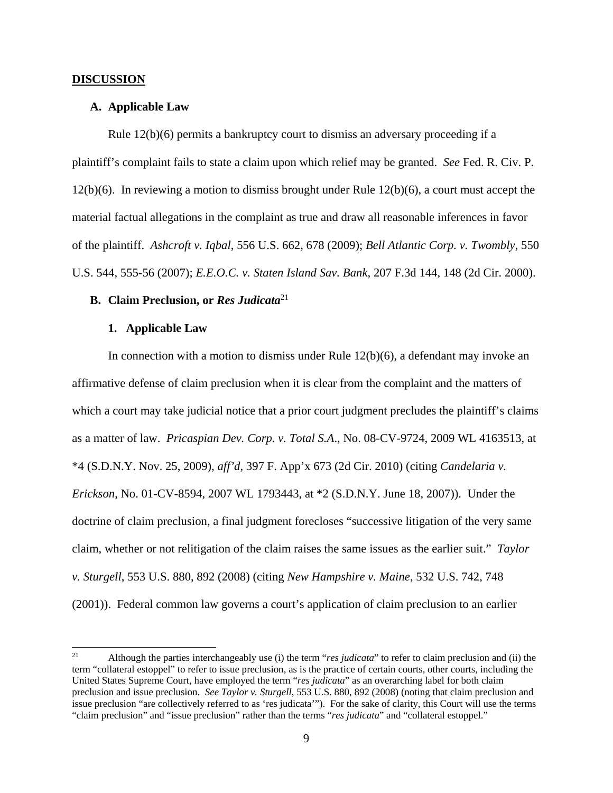#### **DISCUSSION**

### **A. Applicable Law**

Rule 12(b)(6) permits a bankruptcy court to dismiss an adversary proceeding if a plaintiff's complaint fails to state a claim upon which relief may be granted. *See* Fed. R. Civ. P.  $12(b)(6)$ . In reviewing a motion to dismiss brought under Rule  $12(b)(6)$ , a court must accept the material factual allegations in the complaint as true and draw all reasonable inferences in favor of the plaintiff. *Ashcroft v. Iqbal*, 556 U.S. 662, 678 (2009); *Bell Atlantic Corp. v. Twombly*, 550 U.S. 544, 555-56 (2007); *E.E.O.C. v. Staten Island Sav. Bank*, 207 F.3d 144, 148 (2d Cir. 2000).

## **B. Claim Preclusion, or** *Res Judicata*<sup>21</sup>

## **1. Applicable Law**

In connection with a motion to dismiss under Rule  $12(b)(6)$ , a defendant may invoke an affirmative defense of claim preclusion when it is clear from the complaint and the matters of which a court may take judicial notice that a prior court judgment precludes the plaintiff's claims as a matter of law. *Pricaspian Dev. Corp. v. Total S.A*., No. 08-CV-9724, 2009 WL 4163513, at \*4 (S.D.N.Y. Nov. 25, 2009), *aff'd*, 397 F. App'x 673 (2d Cir. 2010) (citing *Candelaria v. Erickson*, No. 01-CV-8594, 2007 WL 1793443, at \*2 (S.D.N.Y. June 18, 2007)). Under the doctrine of claim preclusion, a final judgment forecloses "successive litigation of the very same claim, whether or not relitigation of the claim raises the same issues as the earlier suit." *Taylor v. Sturgell*, 553 U.S. 880, 892 (2008) (citing *New Hampshire v. Maine*, 532 U.S. 742, 748 (2001)). Federal common law governs a court's application of claim preclusion to an earlier

 $21$ 21 Although the parties interchangeably use (i) the term "*res judicata*" to refer to claim preclusion and (ii) the term "collateral estoppel" to refer to issue preclusion, as is the practice of certain courts, other courts, including the United States Supreme Court, have employed the term "*res judicata*" as an overarching label for both claim preclusion and issue preclusion. *See Taylor v. Sturgell*, 553 U.S. 880, 892 (2008) (noting that claim preclusion and issue preclusion "are collectively referred to as 'res judicata'"). For the sake of clarity, this Court will use the terms "claim preclusion" and "issue preclusion" rather than the terms "*res judicata*" and "collateral estoppel."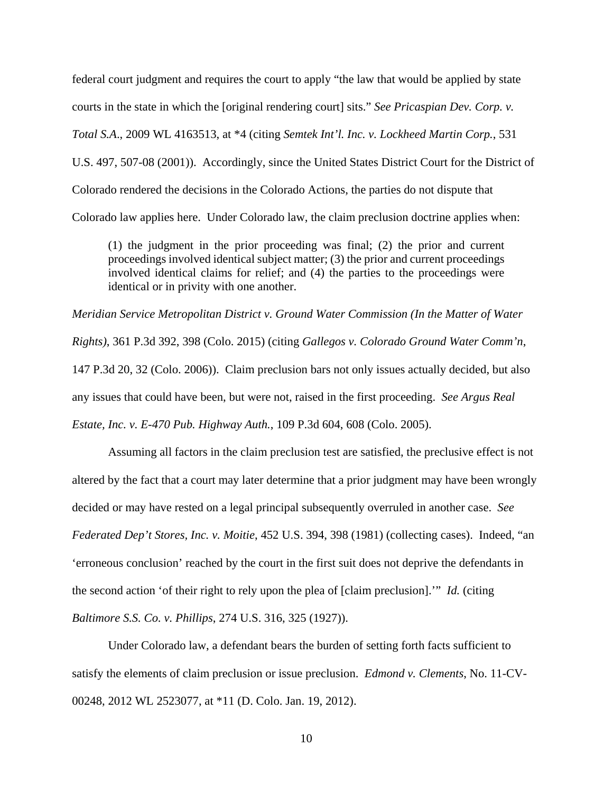federal court judgment and requires the court to apply "the law that would be applied by state courts in the state in which the [original rendering court] sits." *See Pricaspian Dev. Corp. v. Total S.A*., 2009 WL 4163513, at \*4 (citing *Semtek Int'l. Inc. v. Lockheed Martin Corp.*, 531 U.S. 497, 507-08 (2001)). Accordingly, since the United States District Court for the District of Colorado rendered the decisions in the Colorado Actions, the parties do not dispute that Colorado law applies here. Under Colorado law, the claim preclusion doctrine applies when:

(1) the judgment in the prior proceeding was final; (2) the prior and current proceedings involved identical subject matter; (3) the prior and current proceedings involved identical claims for relief; and (4) the parties to the proceedings were identical or in privity with one another.

*Meridian Service Metropolitan District v. Ground Water Commission (In the Matter of Water Rights)*, 361 P.3d 392, 398 (Colo. 2015) (citing *Gallegos v. Colorado Ground Water Comm'n*, 147 P.3d 20, 32 (Colo. 2006)). Claim preclusion bars not only issues actually decided, but also any issues that could have been, but were not, raised in the first proceeding. *See Argus Real Estate, Inc. v. E-470 Pub. Highway Auth.*, 109 P.3d 604, 608 (Colo. 2005).

Assuming all factors in the claim preclusion test are satisfied, the preclusive effect is not altered by the fact that a court may later determine that a prior judgment may have been wrongly decided or may have rested on a legal principal subsequently overruled in another case. *See Federated Dep't Stores, Inc. v. Moitie*, 452 U.S. 394, 398 (1981) (collecting cases). Indeed, "an 'erroneous conclusion' reached by the court in the first suit does not deprive the defendants in the second action 'of their right to rely upon the plea of [claim preclusion].'" *Id.* (citing *Baltimore S.S. Co. v. Phillips*, 274 U.S. 316, 325 (1927)).

Under Colorado law, a defendant bears the burden of setting forth facts sufficient to satisfy the elements of claim preclusion or issue preclusion. *Edmond v. Clements*, No. 11-CV-00248, 2012 WL 2523077, at \*11 (D. Colo. Jan. 19, 2012).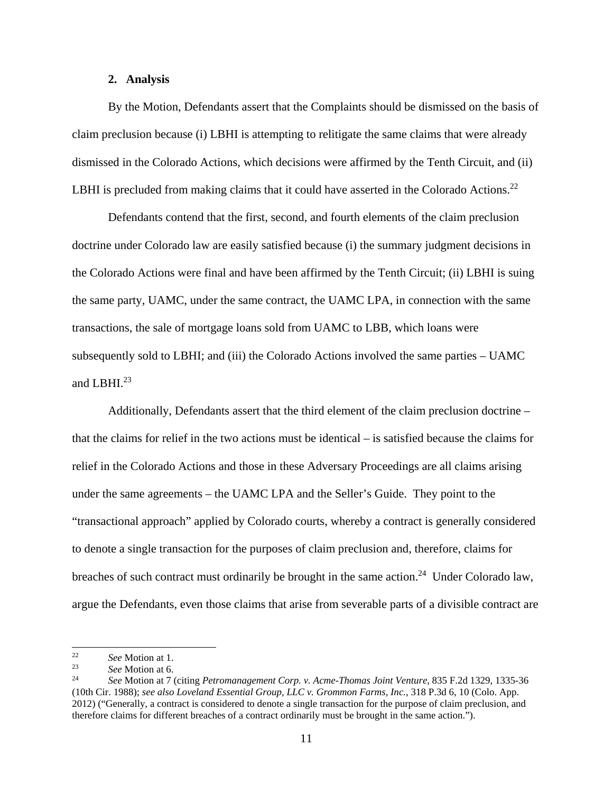### **2. Analysis**

By the Motion, Defendants assert that the Complaints should be dismissed on the basis of claim preclusion because (i) LBHI is attempting to relitigate the same claims that were already dismissed in the Colorado Actions, which decisions were affirmed by the Tenth Circuit, and (ii) LBHI is precluded from making claims that it could have asserted in the Colorado Actions.<sup>22</sup>

Defendants contend that the first, second, and fourth elements of the claim preclusion doctrine under Colorado law are easily satisfied because (i) the summary judgment decisions in the Colorado Actions were final and have been affirmed by the Tenth Circuit; (ii) LBHI is suing the same party, UAMC, under the same contract, the UAMC LPA, in connection with the same transactions, the sale of mortgage loans sold from UAMC to LBB, which loans were subsequently sold to LBHI; and (iii) the Colorado Actions involved the same parties – UAMC and LBHI. $^{23}$ 

Additionally, Defendants assert that the third element of the claim preclusion doctrine – that the claims for relief in the two actions must be identical – is satisfied because the claims for relief in the Colorado Actions and those in these Adversary Proceedings are all claims arising under the same agreements – the UAMC LPA and the Seller's Guide. They point to the "transactional approach" applied by Colorado courts, whereby a contract is generally considered to denote a single transaction for the purposes of claim preclusion and, therefore, claims for breaches of such contract must ordinarily be brought in the same action.<sup>24</sup> Under Colorado law, argue the Defendants, even those claims that arise from severable parts of a divisible contract are

 $22\,$ 

<sup>22</sup>*See* Motion at 1. 23 *See* Motion at 6. 24 *See* Motion at 7 (citing *Petromanagement Corp. v. Acme-Thomas Joint Venture*, 835 F.2d 1329, 1335-36 (10th Cir. 1988); *see also Loveland Essential Group, LLC v. Grommon Farms, Inc.*, 318 P.3d 6, 10 (Colo. App. 2012) ("Generally, a contract is considered to denote a single transaction for the purpose of claim preclusion, and therefore claims for different breaches of a contract ordinarily must be brought in the same action.").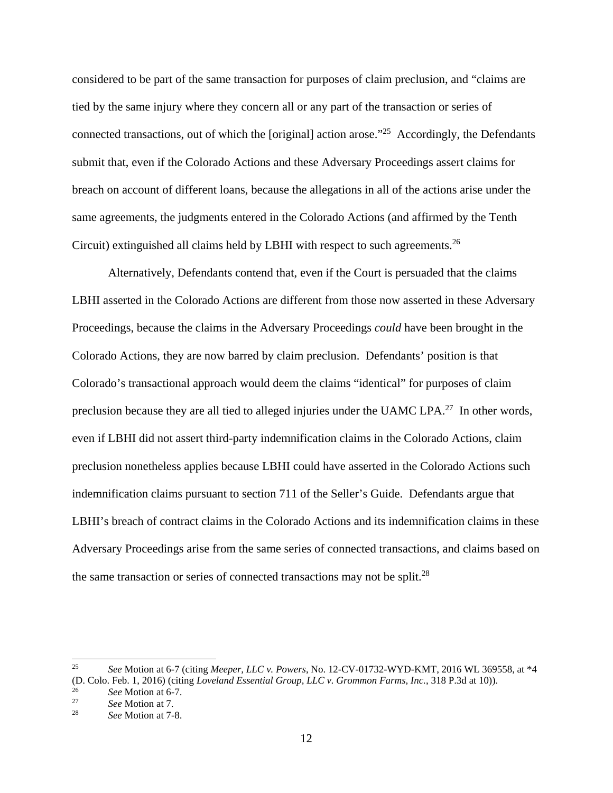considered to be part of the same transaction for purposes of claim preclusion, and "claims are tied by the same injury where they concern all or any part of the transaction or series of connected transactions, out of which the [original] action arose."25 Accordingly, the Defendants submit that, even if the Colorado Actions and these Adversary Proceedings assert claims for breach on account of different loans, because the allegations in all of the actions arise under the same agreements, the judgments entered in the Colorado Actions (and affirmed by the Tenth Circuit) extinguished all claims held by LBHI with respect to such agreements.26

Alternatively, Defendants contend that, even if the Court is persuaded that the claims LBHI asserted in the Colorado Actions are different from those now asserted in these Adversary Proceedings, because the claims in the Adversary Proceedings *could* have been brought in the Colorado Actions, they are now barred by claim preclusion. Defendants' position is that Colorado's transactional approach would deem the claims "identical" for purposes of claim preclusion because they are all tied to alleged injuries under the UAMC LPA.27 In other words, even if LBHI did not assert third-party indemnification claims in the Colorado Actions, claim preclusion nonetheless applies because LBHI could have asserted in the Colorado Actions such indemnification claims pursuant to section 711 of the Seller's Guide. Defendants argue that LBHI's breach of contract claims in the Colorado Actions and its indemnification claims in these Adversary Proceedings arise from the same series of connected transactions, and claims based on the same transaction or series of connected transactions may not be split.<sup>28</sup>

<sup>25</sup> 25 *See* Motion at 6-7 (citing *Meeper, LLC v. Powers*, No. 12-CV-01732-WYD-KMT, 2016 WL 369558, at \*4 (D. Colo. Feb. 1, 2016) (citing *Loveland Essential Group, LLC v. Grommon Farms, Inc.*, 318 P.3d at 10)). 26 *See* Motion at 6-7. 27 *See* Motion at 7. 28 *See* Motion at 7-8.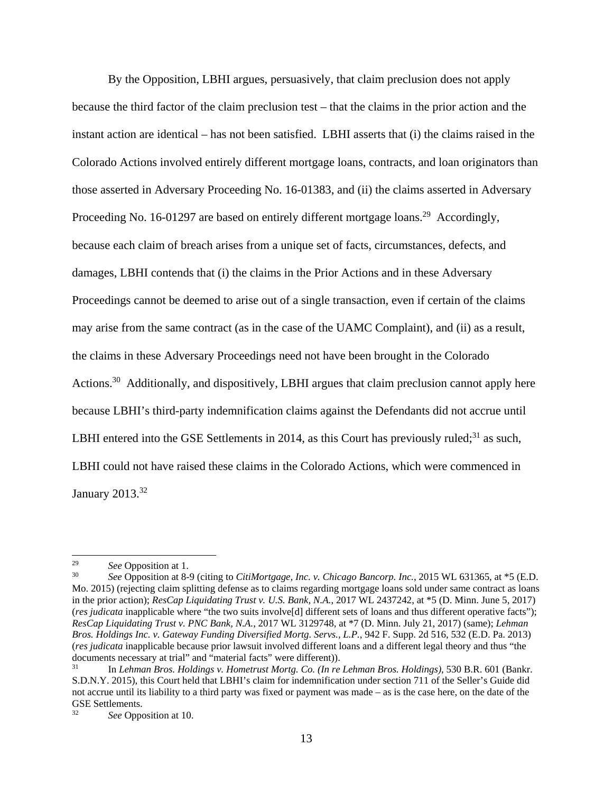By the Opposition, LBHI argues, persuasively, that claim preclusion does not apply because the third factor of the claim preclusion test – that the claims in the prior action and the instant action are identical – has not been satisfied. LBHI asserts that (i) the claims raised in the Colorado Actions involved entirely different mortgage loans, contracts, and loan originators than those asserted in Adversary Proceeding No. 16-01383, and (ii) the claims asserted in Adversary Proceeding No. 16-01297 are based on entirely different mortgage loans.<sup>29</sup> Accordingly, because each claim of breach arises from a unique set of facts, circumstances, defects, and damages, LBHI contends that (i) the claims in the Prior Actions and in these Adversary Proceedings cannot be deemed to arise out of a single transaction, even if certain of the claims may arise from the same contract (as in the case of the UAMC Complaint), and (ii) as a result, the claims in these Adversary Proceedings need not have been brought in the Colorado Actions.<sup>30</sup> Additionally, and dispositively, LBHI argues that claim preclusion cannot apply here because LBHI's third-party indemnification claims against the Defendants did not accrue until LBHI entered into the GSE Settlements in 2014, as this Court has previously ruled; $31$  as such, LBHI could not have raised these claims in the Colorado Actions, which were commenced in January 2013.32

 $\overline{a}$ 

<sup>29</sup>*See* Opposition at 1. 30 *See* Opposition at 8-9 (citing to *CitiMortgage, Inc. v. Chicago Bancorp. Inc.*, 2015 WL 631365, at \*5 (E.D. Mo. 2015) (rejecting claim splitting defense as to claims regarding mortgage loans sold under same contract as loans in the prior action); *ResCap Liquidating Trust v. U.S. Bank, N.A.*, 2017 WL 2437242, at \*5 (D. Minn. June 5, 2017) (*res judicata* inapplicable where "the two suits involve[d] different sets of loans and thus different operative facts"); *ResCap Liquidating Trust v. PNC Bank, N.A.*, 2017 WL 3129748, at \*7 (D. Minn. July 21, 2017) (same); *Lehman Bros. Holdings Inc. v. Gateway Funding Diversified Mortg. Servs., L.P.*, 942 F. Supp. 2d 516, 532 (E.D. Pa. 2013) (*res judicata* inapplicable because prior lawsuit involved different loans and a different legal theory and thus "the documents necessary at trial" and "material facts" were different)).

<sup>31</sup> In *Lehman Bros. Holdings v. Hometrust Mortg. Co. (In re Lehman Bros. Holdings)*, 530 B.R. 601 (Bankr. S.D.N.Y. 2015), this Court held that LBHI's claim for indemnification under section 711 of the Seller's Guide did not accrue until its liability to a third party was fixed or payment was made – as is the case here, on the date of the GSE Settlements.

See Opposition at 10.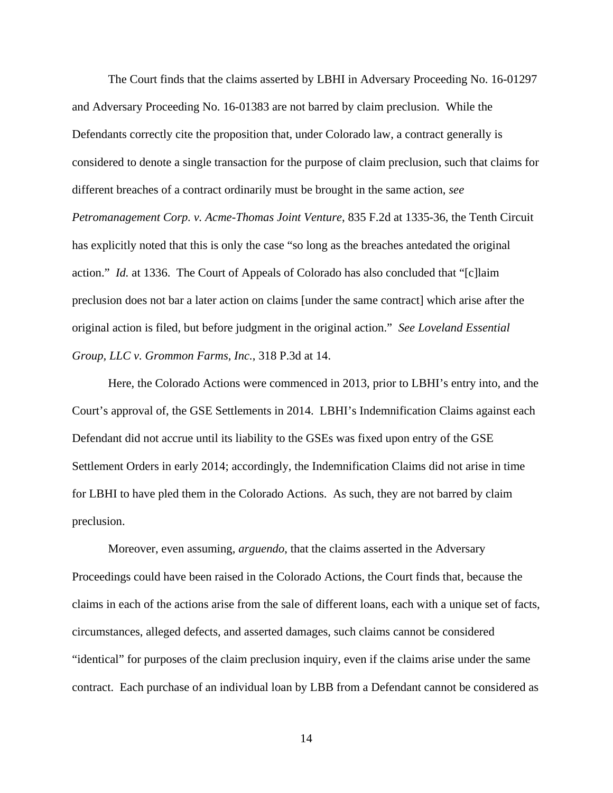The Court finds that the claims asserted by LBHI in Adversary Proceeding No. 16-01297 and Adversary Proceeding No. 16-01383 are not barred by claim preclusion. While the Defendants correctly cite the proposition that, under Colorado law, a contract generally is considered to denote a single transaction for the purpose of claim preclusion, such that claims for different breaches of a contract ordinarily must be brought in the same action, *see Petromanagement Corp. v. Acme-Thomas Joint Venture*, 835 F.2d at 1335-36, the Tenth Circuit has explicitly noted that this is only the case "so long as the breaches antedated the original action." *Id.* at 1336. The Court of Appeals of Colorado has also concluded that "[c]laim preclusion does not bar a later action on claims [under the same contract] which arise after the original action is filed, but before judgment in the original action." *See Loveland Essential Group, LLC v. Grommon Farms, Inc.*, 318 P.3d at 14.

Here, the Colorado Actions were commenced in 2013, prior to LBHI's entry into, and the Court's approval of, the GSE Settlements in 2014. LBHI's Indemnification Claims against each Defendant did not accrue until its liability to the GSEs was fixed upon entry of the GSE Settlement Orders in early 2014; accordingly, the Indemnification Claims did not arise in time for LBHI to have pled them in the Colorado Actions. As such, they are not barred by claim preclusion.

Moreover, even assuming, *arguendo*, that the claims asserted in the Adversary Proceedings could have been raised in the Colorado Actions, the Court finds that, because the claims in each of the actions arise from the sale of different loans, each with a unique set of facts, circumstances, alleged defects, and asserted damages, such claims cannot be considered "identical" for purposes of the claim preclusion inquiry, even if the claims arise under the same contract. Each purchase of an individual loan by LBB from a Defendant cannot be considered as

14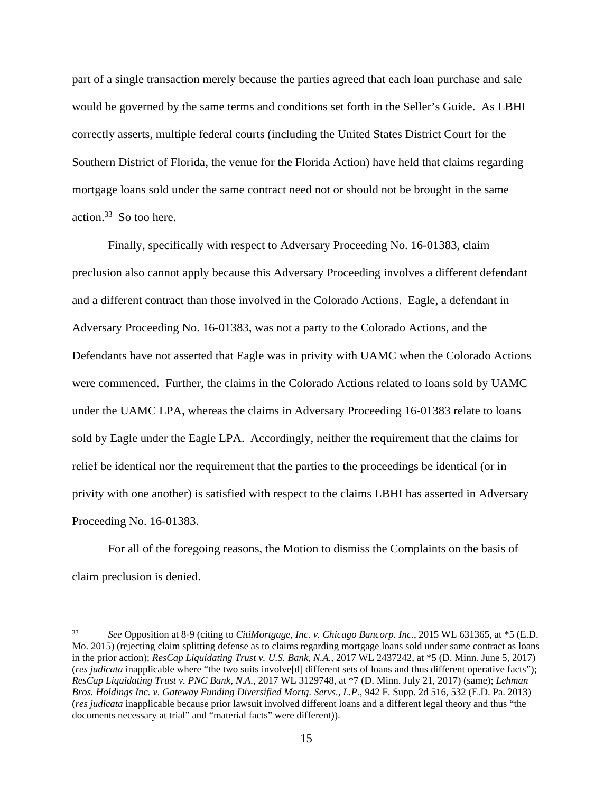part of a single transaction merely because the parties agreed that each loan purchase and sale would be governed by the same terms and conditions set forth in the Seller's Guide. As LBHI correctly asserts, multiple federal courts (including the United States District Court for the Southern District of Florida, the venue for the Florida Action) have held that claims regarding mortgage loans sold under the same contract need not or should not be brought in the same action.33 So too here.

Finally, specifically with respect to Adversary Proceeding No. 16-01383, claim preclusion also cannot apply because this Adversary Proceeding involves a different defendant and a different contract than those involved in the Colorado Actions. Eagle, a defendant in Adversary Proceeding No. 16-01383, was not a party to the Colorado Actions, and the Defendants have not asserted that Eagle was in privity with UAMC when the Colorado Actions were commenced. Further, the claims in the Colorado Actions related to loans sold by UAMC under the UAMC LPA, whereas the claims in Adversary Proceeding 16-01383 relate to loans sold by Eagle under the Eagle LPA. Accordingly, neither the requirement that the claims for relief be identical nor the requirement that the parties to the proceedings be identical (or in privity with one another) is satisfied with respect to the claims LBHI has asserted in Adversary Proceeding No. 16-01383.

For all of the foregoing reasons, the Motion to dismiss the Complaints on the basis of claim preclusion is denied.

 $33$ 33 *See* Opposition at 8-9 (citing to *CitiMortgage, Inc. v. Chicago Bancorp. Inc.*, 2015 WL 631365, at \*5 (E.D. Mo. 2015) (rejecting claim splitting defense as to claims regarding mortgage loans sold under same contract as loans in the prior action); *ResCap Liquidating Trust v. U.S. Bank, N.A.*, 2017 WL 2437242, at \*5 (D. Minn. June 5, 2017) (*res judicata* inapplicable where "the two suits involve[d] different sets of loans and thus different operative facts"); *ResCap Liquidating Trust v. PNC Bank, N.A.*, 2017 WL 3129748, at \*7 (D. Minn. July 21, 2017) (same); *Lehman Bros. Holdings Inc. v. Gateway Funding Diversified Mortg. Servs., L.P.*, 942 F. Supp. 2d 516, 532 (E.D. Pa. 2013) (*res judicata* inapplicable because prior lawsuit involved different loans and a different legal theory and thus "the documents necessary at trial" and "material facts" were different)).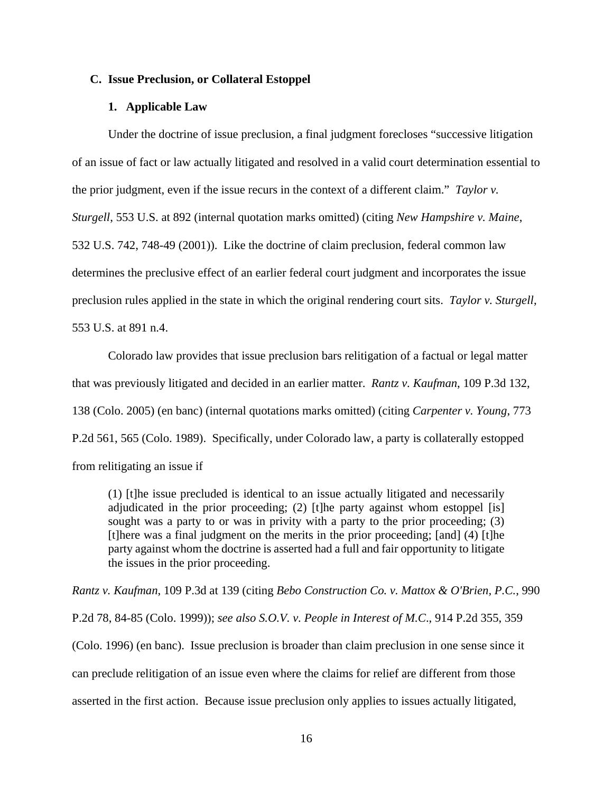### **C. Issue Preclusion, or Collateral Estoppel**

#### **1. Applicable Law**

Under the doctrine of issue preclusion, a final judgment forecloses "successive litigation of an issue of fact or law actually litigated and resolved in a valid court determination essential to the prior judgment, even if the issue recurs in the context of a different claim." *Taylor v. Sturgell*, 553 U.S. at 892 (internal quotation marks omitted) (citing *New Hampshire v. Maine*, 532 U.S. 742, 748-49 (2001)). Like the doctrine of claim preclusion, federal common law determines the preclusive effect of an earlier federal court judgment and incorporates the issue preclusion rules applied in the state in which the original rendering court sits. *Taylor v. Sturgell*, 553 U.S. at 891 n.4.

Colorado law provides that issue preclusion bars relitigation of a factual or legal matter that was previously litigated and decided in an earlier matter. *Rantz v. Kaufman*, 109 P.3d 132, 138 (Colo. 2005) (en banc) (internal quotations marks omitted) (citing *Carpenter v. Young*, 773 P.2d 561, 565 (Colo. 1989). Specifically, under Colorado law, a party is collaterally estopped from relitigating an issue if

(1) [t]he issue precluded is identical to an issue actually litigated and necessarily adjudicated in the prior proceeding; (2) [t]he party against whom estoppel [is] sought was a party to or was in privity with a party to the prior proceeding; (3) [t]here was a final judgment on the merits in the prior proceeding; [and] (4) [t]he party against whom the doctrine is asserted had a full and fair opportunity to litigate the issues in the prior proceeding.

*Rantz v. Kaufman*, 109 P.3d at 139 (citing *Bebo Construction Co. v. Mattox & O'Brien, P.C.*, 990 P.2d 78, 84-85 (Colo. 1999)); *see also S.O.V. v. People in Interest of M.C*., 914 P.2d 355, 359 (Colo. 1996) (en banc). Issue preclusion is broader than claim preclusion in one sense since it can preclude relitigation of an issue even where the claims for relief are different from those asserted in the first action. Because issue preclusion only applies to issues actually litigated,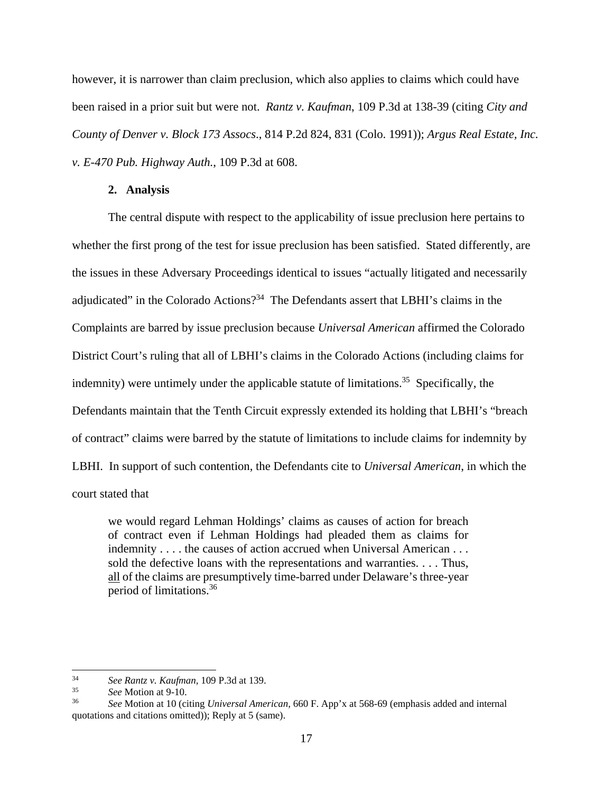however, it is narrower than claim preclusion, which also applies to claims which could have been raised in a prior suit but were not. *Rantz v. Kaufman*, 109 P.3d at 138-39 (citing *City and County of Denver v. Block 173 Assocs*., 814 P.2d 824, 831 (Colo. 1991)); *Argus Real Estate, Inc. v. E-470 Pub. Highway Auth.*, 109 P.3d at 608.

#### **2. Analysis**

The central dispute with respect to the applicability of issue preclusion here pertains to whether the first prong of the test for issue preclusion has been satisfied. Stated differently, are the issues in these Adversary Proceedings identical to issues "actually litigated and necessarily adjudicated" in the Colorado Actions?<sup>34</sup> The Defendants assert that LBHI's claims in the Complaints are barred by issue preclusion because *Universal American* affirmed the Colorado District Court's ruling that all of LBHI's claims in the Colorado Actions (including claims for indemnity) were untimely under the applicable statute of limitations.<sup>35</sup> Specifically, the Defendants maintain that the Tenth Circuit expressly extended its holding that LBHI's "breach of contract" claims were barred by the statute of limitations to include claims for indemnity by LBHI. In support of such contention, the Defendants cite to *Universal American*, in which the court stated that

we would regard Lehman Holdings' claims as causes of action for breach of contract even if Lehman Holdings had pleaded them as claims for indemnity . . . . the causes of action accrued when Universal American . . . sold the defective loans with the representations and warranties. . . . Thus, all of the claims are presumptively time-barred under Delaware's three-year period of limitations.36

 $\overline{\phantom{a}}$ 

<sup>34</sup>*See Rantz v. Kaufman*, 109 P.3d at 139. 35 *See* Motion at 9-10. 36 *See* Motion at 10 (citing *Universal American*, 660 F. App'x at 568-69 (emphasis added and internal quotations and citations omitted)); Reply at 5 (same).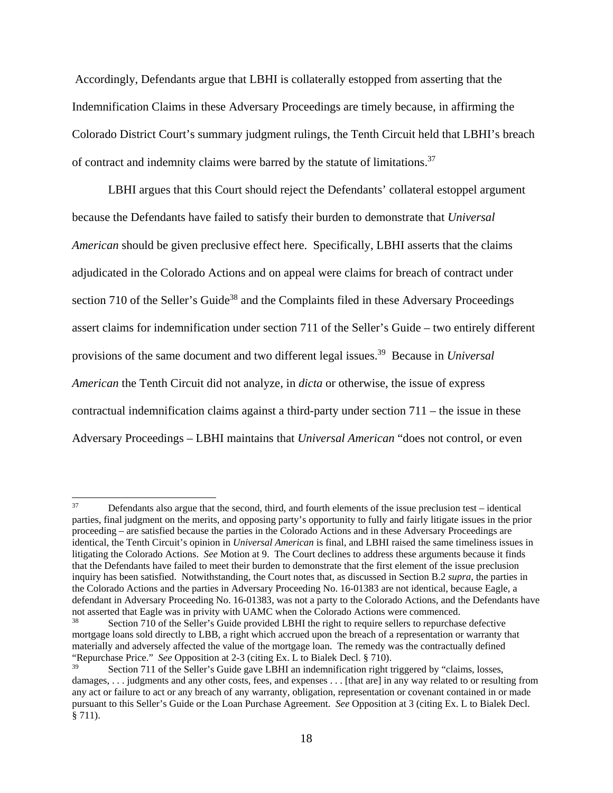Accordingly, Defendants argue that LBHI is collaterally estopped from asserting that the Indemnification Claims in these Adversary Proceedings are timely because, in affirming the Colorado District Court's summary judgment rulings, the Tenth Circuit held that LBHI's breach of contract and indemnity claims were barred by the statute of limitations.<sup>37</sup>

LBHI argues that this Court should reject the Defendants' collateral estoppel argument because the Defendants have failed to satisfy their burden to demonstrate that *Universal American* should be given preclusive effect here. Specifically, LBHI asserts that the claims adjudicated in the Colorado Actions and on appeal were claims for breach of contract under section 710 of the Seller's Guide<sup>38</sup> and the Complaints filed in these Adversary Proceedings assert claims for indemnification under section 711 of the Seller's Guide – two entirely different provisions of the same document and two different legal issues.39 Because in *Universal American* the Tenth Circuit did not analyze, in *dicta* or otherwise, the issue of express contractual indemnification claims against a third-party under section 711 – the issue in these Adversary Proceedings – LBHI maintains that *Universal American* "does not control, or even

 $37$ 37 Defendants also argue that the second, third, and fourth elements of the issue preclusion test – identical parties, final judgment on the merits, and opposing party's opportunity to fully and fairly litigate issues in the prior proceeding – are satisfied because the parties in the Colorado Actions and in these Adversary Proceedings are identical, the Tenth Circuit's opinion in *Universal American* is final, and LBHI raised the same timeliness issues in litigating the Colorado Actions. *See* Motion at 9. The Court declines to address these arguments because it finds that the Defendants have failed to meet their burden to demonstrate that the first element of the issue preclusion inquiry has been satisfied. Notwithstanding, the Court notes that, as discussed in Section B.2 *supra*, the parties in the Colorado Actions and the parties in Adversary Proceeding No. 16-01383 are not identical, because Eagle, a defendant in Adversary Proceeding No. 16-01383, was not a party to the Colorado Actions, and the Defendants have not asserted that Eagle was in privity with UAMC when the Colorado Actions were commenced.<br><sup>38</sup> Section 710 of the Seller's Guide provided LBHI the right to require sellers to repurchase defective

mortgage loans sold directly to LBB, a right which accrued upon the breach of a representation or warranty that materially and adversely affected the value of the mortgage loan. The remedy was the contractually defined "Repurchase Price." *See* Opposition at 2-3 (citing Ex. L to Bialek Decl. § 710).

Section 711 of the Seller's Guide gave LBHI an indemnification right triggered by "claims, losses, damages, ... judgments and any other costs, fees, and expenses ... [that are] in any way related to or resulting from any act or failure to act or any breach of any warranty, obligation, representation or covenant contained in or made pursuant to this Seller's Guide or the Loan Purchase Agreement. *See* Opposition at 3 (citing Ex. L to Bialek Decl. § 711).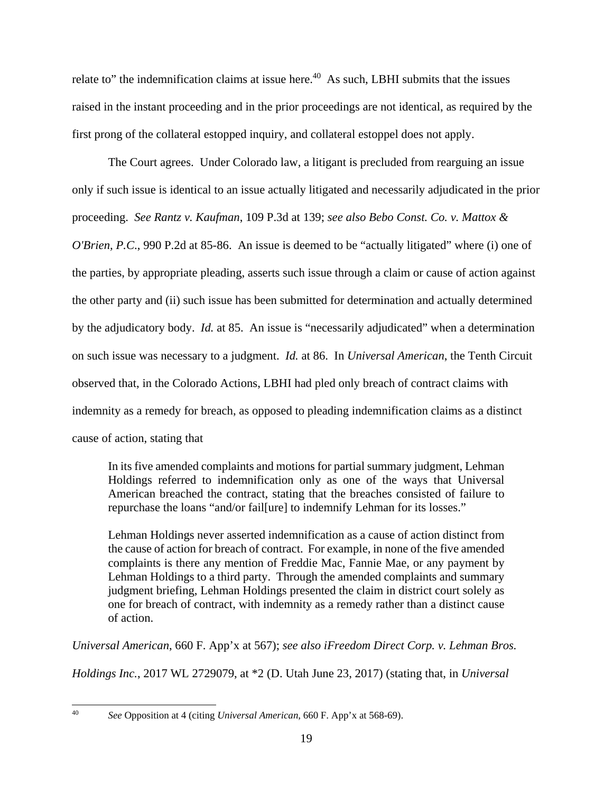relate to" the indemnification claims at issue here.<sup>40</sup> As such, LBHI submits that the issues raised in the instant proceeding and in the prior proceedings are not identical, as required by the first prong of the collateral estopped inquiry, and collateral estoppel does not apply.

The Court agrees. Under Colorado law, a litigant is precluded from rearguing an issue only if such issue is identical to an issue actually litigated and necessarily adjudicated in the prior proceeding. *See Rantz v. Kaufman*, 109 P.3d at 139; *see also Bebo Const. Co. v. Mattox & O'Brien, P.C.*, 990 P.2d at 85-86. An issue is deemed to be "actually litigated" where (i) one of the parties, by appropriate pleading, asserts such issue through a claim or cause of action against the other party and (ii) such issue has been submitted for determination and actually determined by the adjudicatory body. *Id.* at 85. An issue is "necessarily adjudicated" when a determination on such issue was necessary to a judgment. *Id.* at 86. In *Universal American*, the Tenth Circuit observed that, in the Colorado Actions, LBHI had pled only breach of contract claims with indemnity as a remedy for breach, as opposed to pleading indemnification claims as a distinct cause of action, stating that

In its five amended complaints and motions for partial summary judgment, Lehman Holdings referred to indemnification only as one of the ways that Universal American breached the contract, stating that the breaches consisted of failure to repurchase the loans "and/or fail[ure] to indemnify Lehman for its losses."

Lehman Holdings never asserted indemnification as a cause of action distinct from the cause of action for breach of contract. For example, in none of the five amended complaints is there any mention of Freddie Mac, Fannie Mae, or any payment by Lehman Holdings to a third party. Through the amended complaints and summary judgment briefing, Lehman Holdings presented the claim in district court solely as one for breach of contract, with indemnity as a remedy rather than a distinct cause of action.

*Universal American*, 660 F. App'x at 567); *see also iFreedom Direct Corp. v. Lehman Bros.* 

*Holdings Inc.*, 2017 WL 2729079, at \*2 (D. Utah June 23, 2017) (stating that, in *Universal* 

 $40<sup>1</sup>$ 

<sup>40</sup> *See* Opposition at 4 (citing *Universal American*, 660 F. App'x at 568-69).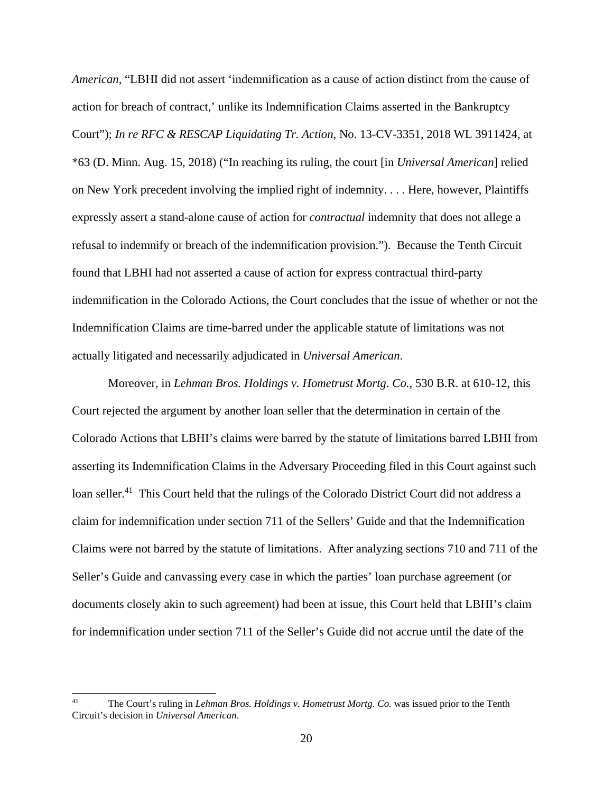*American*, "LBHI did not assert 'indemnification as a cause of action distinct from the cause of action for breach of contract,' unlike its Indemnification Claims asserted in the Bankruptcy Court"); *In re RFC & RESCAP Liquidating Tr. Action*, No. 13-CV-3351, 2018 WL 3911424, at \*63 (D. Minn. Aug. 15, 2018) ("In reaching its ruling, the court [in *Universal American*] relied on New York precedent involving the implied right of indemnity. . . . Here, however, Plaintiffs expressly assert a stand-alone cause of action for *contractual* indemnity that does not allege a refusal to indemnify or breach of the indemnification provision."). Because the Tenth Circuit found that LBHI had not asserted a cause of action for express contractual third-party indemnification in the Colorado Actions, the Court concludes that the issue of whether or not the Indemnification Claims are time-barred under the applicable statute of limitations was not actually litigated and necessarily adjudicated in *Universal American*.

Moreover, in *Lehman Bros. Holdings v. Hometrust Mortg. Co.*, 530 B.R. at 610-12, this Court rejected the argument by another loan seller that the determination in certain of the Colorado Actions that LBHI's claims were barred by the statute of limitations barred LBHI from asserting its Indemnification Claims in the Adversary Proceeding filed in this Court against such loan seller.<sup>41</sup> This Court held that the rulings of the Colorado District Court did not address a claim for indemnification under section 711 of the Sellers' Guide and that the Indemnification Claims were not barred by the statute of limitations. After analyzing sections 710 and 711 of the Seller's Guide and canvassing every case in which the parties' loan purchase agreement (or documents closely akin to such agreement) had been at issue, this Court held that LBHI's claim for indemnification under section 711 of the Seller's Guide did not accrue until the date of the

 $41$ The Court's ruling in *Lehman Bros. Holdings v. Hometrust Mortg. Co.* was issued prior to the Tenth Circuit's decision in *Universal American*.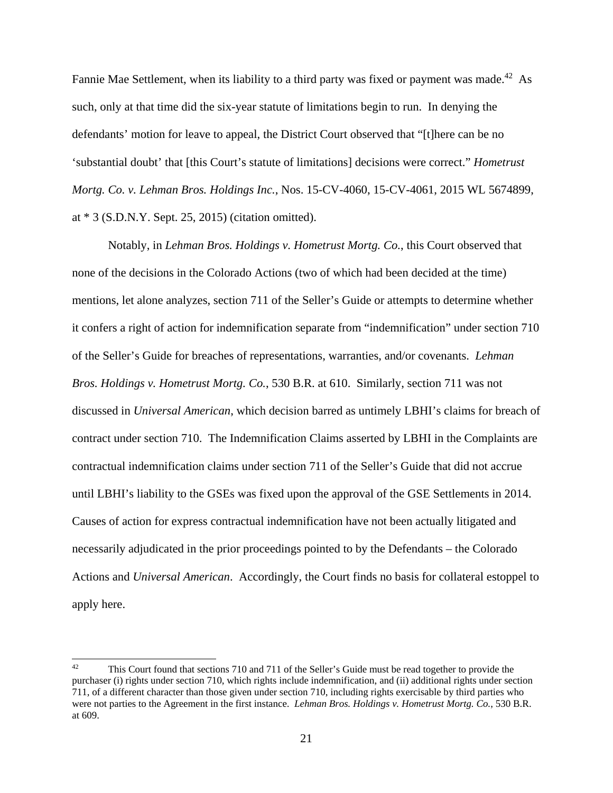Fannie Mae Settlement, when its liability to a third party was fixed or payment was made.<sup>42</sup> As such, only at that time did the six-year statute of limitations begin to run. In denying the defendants' motion for leave to appeal, the District Court observed that "[t]here can be no 'substantial doubt' that [this Court's statute of limitations] decisions were correct." *Hometrust Mortg. Co. v. Lehman Bros. Holdings Inc.*, Nos. 15-CV-4060, 15-CV-4061, 2015 WL 5674899, at \* 3 (S.D.N.Y. Sept. 25, 2015) (citation omitted).

Notably, in *Lehman Bros. Holdings v. Hometrust Mortg. Co.*, this Court observed that none of the decisions in the Colorado Actions (two of which had been decided at the time) mentions, let alone analyzes, section 711 of the Seller's Guide or attempts to determine whether it confers a right of action for indemnification separate from "indemnification" under section 710 of the Seller's Guide for breaches of representations, warranties, and/or covenants. *Lehman Bros. Holdings v. Hometrust Mortg. Co.*, 530 B.R. at 610. Similarly, section 711 was not discussed in *Universal American*, which decision barred as untimely LBHI's claims for breach of contract under section 710. The Indemnification Claims asserted by LBHI in the Complaints are contractual indemnification claims under section 711 of the Seller's Guide that did not accrue until LBHI's liability to the GSEs was fixed upon the approval of the GSE Settlements in 2014. Causes of action for express contractual indemnification have not been actually litigated and necessarily adjudicated in the prior proceedings pointed to by the Defendants – the Colorado Actions and *Universal American*. Accordingly, the Court finds no basis for collateral estoppel to apply here.

<sup>42</sup> This Court found that sections 710 and 711 of the Seller's Guide must be read together to provide the purchaser (i) rights under section 710, which rights include indemnification, and (ii) additional rights under section 711, of a different character than those given under section 710, including rights exercisable by third parties who were not parties to the Agreement in the first instance. *Lehman Bros. Holdings v. Hometrust Mortg. Co.*, 530 B.R. at 609.